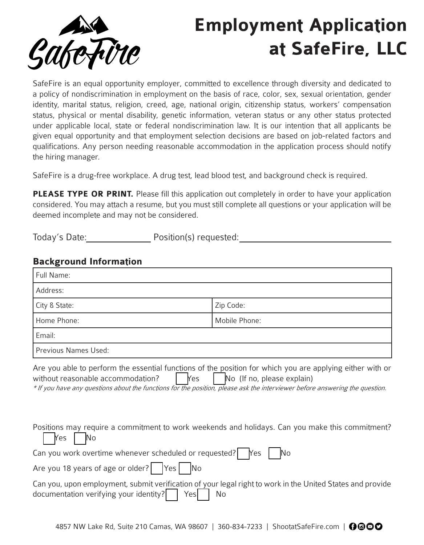

# **Employment Application at SafeFire, LLC**

SafeFire is an equal opportunity employer, committed to excellence through diversity and dedicated to a policy of nondiscrimination in employment on the basis of race, color, sex, sexual orientation, gender identity, marital status, religion, creed, age, national origin, citizenship status, workers' compensation status, physical or mental disability, genetic information, veteran status or any other status protected under applicable local, state or federal nondiscrimination law. It is our intention that all applicants be given equal opportunity and that employment selection decisions are based on job-related factors and qualifications. Any person needing reasonable accommodation in the application process should notify the hiring manager.

SafeFire is a drug-free workplace. A drug test, lead blood test, and background check is required.

**PLEASE TYPE OR PRINT.** Please fill this application out completely in order to have your application considered. You may attach a resume, but you must still complete all questions or your application will be deemed incomplete and may not be considered.

Today's Date: Position(s) requested:

#### **Background Information**

| Full Name:                                                                                                                                                                                                                                                                                                                |               |  |  |  |
|---------------------------------------------------------------------------------------------------------------------------------------------------------------------------------------------------------------------------------------------------------------------------------------------------------------------------|---------------|--|--|--|
| Address:                                                                                                                                                                                                                                                                                                                  |               |  |  |  |
| City & State:                                                                                                                                                                                                                                                                                                             | Zip Code:     |  |  |  |
| Home Phone:                                                                                                                                                                                                                                                                                                               | Mobile Phone: |  |  |  |
| Email:                                                                                                                                                                                                                                                                                                                    |               |  |  |  |
| Previous Names Used:                                                                                                                                                                                                                                                                                                      |               |  |  |  |
| Are you able to perform the essential functions of the position for which you are applying either with or<br>No (If no, please explain)<br>without reasonable accommodation?<br><b>Yes</b><br>* If you have any questions about the functions for the position, please ask the interviewer before answering the question. |               |  |  |  |
| Positions may require a commitment to work weekends and holidays. Can you make this commitment?<br>No<br>Yes                                                                                                                                                                                                              |               |  |  |  |
| Can you work overtime whenever scheduled or requested?<br>No<br>Yes                                                                                                                                                                                                                                                       |               |  |  |  |
| Are you 18 years of age or older?<br>Yes No                                                                                                                                                                                                                                                                               |               |  |  |  |
| Can you, upon employment, submit verification of your legal right to work in the United States and provide<br>documentation verifying your identity?<br>No<br>Yesl                                                                                                                                                        |               |  |  |  |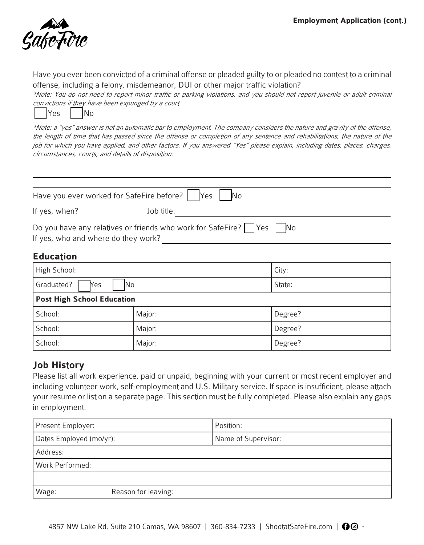

Have you ever been convicted of a criminal offense or pleaded guilty to or pleaded no contest to a criminal offense, including a felony, misdemeanor, DUI or other major traffic violation?

\*Note: You do not need to report minor traffic or parking violations, and you should not report juvenile or adult criminal convictions if they have been expunged by a court.

| Yes |  | <b>INo</b> |
|-----|--|------------|
|-----|--|------------|

\*Note: a "yes" answer is not an automatic bar to employment. The company considers the nature and gravity of the offense, the length of time that has passed since the offense or completion of any sentence and rehabilitations, the nature of the job for which you have applied, and other factors. If you answered "Yes" please explain, including dates, places, charges, circumstances, courts, and details of disposition:

| Have you ever worked for SafeFire before?   Yes | <b>No</b>                                                                                          |
|-------------------------------------------------|----------------------------------------------------------------------------------------------------|
| If yes, when?                                   | Job title:                                                                                         |
| If yes, who and where do they work?             | Do you have any relatives or friends who work for SafeFire? $\vert \ \vert$ Yes $\vert \ \vert$ No |

## **Education**

| High School:                      |        | City:   |  |
|-----------------------------------|--------|---------|--|
| Graduated?<br>Yes<br>ΙNο          |        | State:  |  |
| <b>Post High School Education</b> |        |         |  |
| School:                           | Major: | Degree? |  |
| School:                           | Major: | Degree? |  |
| School:                           | Major: | Degree? |  |

## **Job History**

Please list all work experience, paid or unpaid, beginning with your current or most recent employer and including volunteer work, self-employment and U.S. Military service. If space is insufficient, please attach your resume or list on a separate page. This section must be fully completed. Please also explain any gaps in employment.

| Present Employer:            | Position:           |  |  |
|------------------------------|---------------------|--|--|
| Dates Employed (mo/yr):      | Name of Supervisor: |  |  |
| Address:                     |                     |  |  |
| Work Performed:              |                     |  |  |
|                              |                     |  |  |
| Reason for leaving:<br>Wage: |                     |  |  |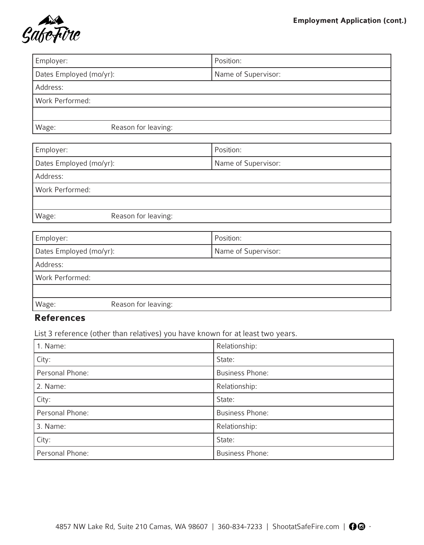

| Employer:               |                     | Position:           |  |
|-------------------------|---------------------|---------------------|--|
| Dates Employed (mo/yr): |                     | Name of Supervisor: |  |
| Address:                |                     |                     |  |
| Work Performed:         |                     |                     |  |
|                         |                     |                     |  |
| Wage:                   | Reason for leaving: |                     |  |

| Employer:               |                     | Position:           |  |
|-------------------------|---------------------|---------------------|--|
| Dates Employed (mo/yr): |                     | Name of Supervisor: |  |
| Address:                |                     |                     |  |
| Work Performed:         |                     |                     |  |
|                         |                     |                     |  |
| Wage:                   | Reason for leaving: |                     |  |

| Employer:               |                     | Position:           |  |
|-------------------------|---------------------|---------------------|--|
| Dates Employed (mo/yr): |                     | Name of Supervisor: |  |
| Address:                |                     |                     |  |
| Work Performed:         |                     |                     |  |
|                         |                     |                     |  |
| Wage:                   | Reason for leaving: |                     |  |

## **References**

List 3 reference (other than relatives) you have known for at least two years.

| 1. Name:        | Relationship:          |  |  |
|-----------------|------------------------|--|--|
| City:           | State:                 |  |  |
| Personal Phone: | <b>Business Phone:</b> |  |  |
| 2. Name:        | Relationship:          |  |  |
| City:           | State:                 |  |  |
| Personal Phone: | <b>Business Phone:</b> |  |  |
| 3. Name:        | Relationship:          |  |  |
| City:           | State:                 |  |  |
| Personal Phone: | <b>Business Phone:</b> |  |  |